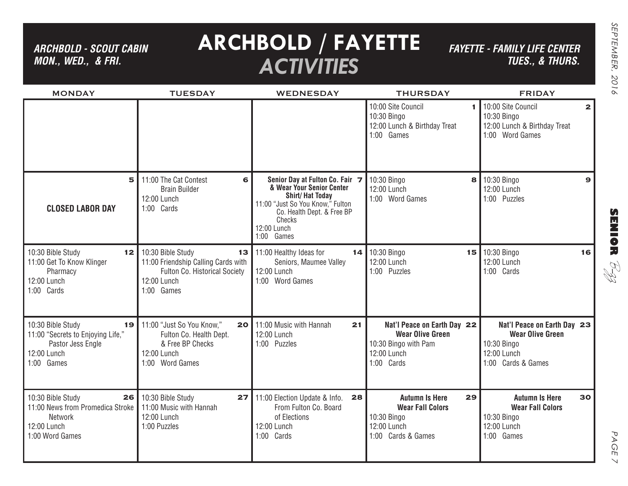*ARCHBOLD - SCOUT CABIN MON., WED., & FRI.*

# **ARCHBOLD / FAYETTE** *ACTIVITIES*

*FAYETTE - FAMILY LIFE CENTER TUES., & THURS.*

| <b>MONDAY</b>                                                                                                  | <b>TUESDAY</b>                                                                                                                         | <b>WEDNESDAY</b>                                                                                                                                                                                | <b>THURSDAY</b>                                                                                             | <b>FRIDAY</b>                                                                                              |
|----------------------------------------------------------------------------------------------------------------|----------------------------------------------------------------------------------------------------------------------------------------|-------------------------------------------------------------------------------------------------------------------------------------------------------------------------------------------------|-------------------------------------------------------------------------------------------------------------|------------------------------------------------------------------------------------------------------------|
|                                                                                                                |                                                                                                                                        |                                                                                                                                                                                                 | 10:00 Site Council<br>10:30 Bingo<br>12:00 Lunch & Birthday Treat<br>1:00 Games                             | 10:00 Site Council<br>$\mathbf{z}$<br>10:30 Bingo<br>12:00 Lunch & Birthday Treat<br>1:00 Word Games       |
| 5<br><b>CLOSED LABOR DAY</b>                                                                                   | 11:00 The Cat Contest<br>6<br><b>Brain Builder</b><br>12:00 Lunch<br>1:00 Cards                                                        | Senior Day at Fulton Co. Fair 7<br>& Wear Your Senior Center<br><b>Shirt/Hat Today</b><br>11:00 "Just So You Know," Fulton<br>Co. Health Dept. & Free BP<br>Checks<br>12:00 Lunch<br>1:00 Games | 10:30 Bingo<br>8<br>12:00 Lunch<br>1:00 Word Games                                                          | 10:30 Bingo<br>$\mathbf{9}$<br>12:00 Lunch<br>1:00 Puzzles                                                 |
| 10:30 Bible Study<br>11:00 Get To Know Klinger<br>Pharmacy<br>12:00 Lunch<br>1:00 Cards                        | <b>12</b> 10:30 Bible Study<br>13<br>11:00 Friendship Calling Cards with<br>Fulton Co. Historical Society<br>12:00 Lunch<br>1:00 Games | 11:00 Healthy Ideas for<br>14<br>Seniors, Maumee Valley<br>12:00 Lunch<br>1:00 Word Games                                                                                                       | 10:30 Bingo<br>12:00 Lunch<br>1:00 Puzzles                                                                  | 15 10:30 Bingo<br>16<br>12:00 Lunch<br>1:00 Cards                                                          |
| 10:30 Bible Study<br>19<br>11:00 "Secrets to Enjoying Life,"<br>Pastor Jess Engle<br>12:00 Lunch<br>1:00 Games | 11:00 "Just So You Know,"<br>Fulton Co. Health Dept.<br>& Free BP Checks<br>12:00 Lunch<br>1:00 Word Games                             | 20 11:00 Music with Hannah<br>21<br>12:00 Lunch<br>1:00 Puzzles                                                                                                                                 | Nat'l Peace on Earth Day 22<br><b>Wear Olive Green</b><br>10:30 Bingo with Pam<br>12:00 Lunch<br>1:00 Cards | Nat'l Peace on Earth Day 23<br><b>Wear Olive Green</b><br>10:30 Bingo<br>12:00 Lunch<br>1:00 Cards & Games |
| 10:30 Bible Study<br>26<br>11:00 News from Promedica Stroke<br>Network<br>12:00 Lunch<br>1:00 Word Games       | 10:30 Bible Study<br>27<br>11:00 Music with Hannah<br>12:00 Lunch<br>1:00 Puzzles                                                      | 28<br>11:00 Election Update & Info.<br>From Fulton Co. Board<br>of Elections<br>12:00 Lunch<br>1:00 Cards                                                                                       | 29<br><b>Autumn Is Here</b><br><b>Wear Fall Colors</b><br>10:30 Bingo<br>12:00 Lunch<br>1:00 Cards & Games  | 30<br><b>Autumn Is Here</b><br><b>Wear Fall Colors</b><br>10:30 Bingo<br>12:00 Lunch<br>1:00 Games         |

**SENIOR** B-zz

> PAGE PAGE 7  $\overline{\phantom{0}}$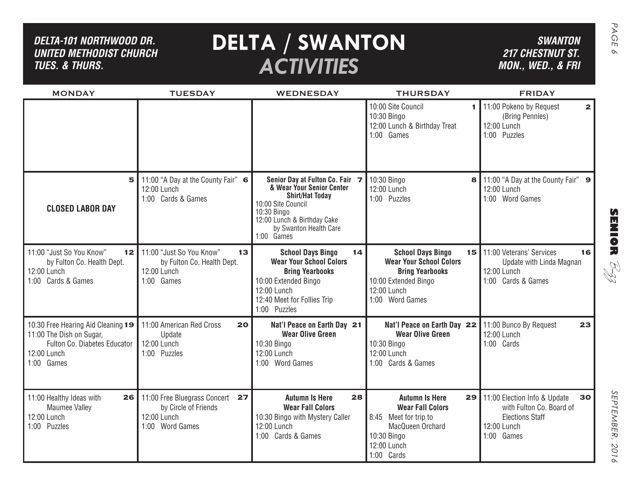| DELTA-101 NORTHWOOD DR.<br><b>UNITED METHODIST CHURCH</b><br><b>TUES. &amp; THURS.</b>                                      | <b>SWANTON</b><br><b>217 CHESTNUT ST.</b><br>MON., WED., & FRI                               |                                                                                                                                                                                                    |                                                                                                                                                |                                                                                                                            |
|-----------------------------------------------------------------------------------------------------------------------------|----------------------------------------------------------------------------------------------|----------------------------------------------------------------------------------------------------------------------------------------------------------------------------------------------------|------------------------------------------------------------------------------------------------------------------------------------------------|----------------------------------------------------------------------------------------------------------------------------|
| <b>MONDAY</b>                                                                                                               | <b>TUESDAY</b>                                                                               | <b>WEDNESDAY</b>                                                                                                                                                                                   | <b>THURSDAY</b><br>10:00 Site Council                                                                                                          | <b>FRIDAY</b><br>11:00 Pokeno by Request                                                                                   |
|                                                                                                                             |                                                                                              |                                                                                                                                                                                                    | 1.<br>10:30 Bingo<br>12:00 Lunch & Birthday Treat<br>1:00 Games                                                                                | $\mathbf{2}$<br>(Bring Pennies)<br>12:00 Lunch<br>1:00 Puzzles                                                             |
| 5<br><b>CLOSED LABOR DAY</b>                                                                                                | 11:00 "A Day at the County Fair" 6<br>12:00 Lunch<br>1:00 Cards & Games                      | Senior Day at Fulton Co. Fair 7<br>& Wear Your Senior Center<br><b>Shirt/Hat Today</b><br>10:00 Site Council<br>10:30 Bingo<br>12:00 Lunch & Birthday Cake<br>by Swanton Health Care<br>1:00 Games | 10:30 Bingo<br>8<br>12:00 Lunch<br>1:00 Puzzles                                                                                                | 11:00 "A Day at the County Fair" 9<br>12:00 Lunch<br>1:00 Word Games                                                       |
| 11:00 "Just So You Know"<br>12 <sub>2</sub><br>by Fulton Co. Health Dept.<br>12:00 Lunch<br>1:00 Cards & Games              | 11:00 "Just So You Know"<br>13<br>by Fulton Co. Health Dept.<br>12:00 Lunch<br>1:00 Games    | <b>School Days Bingo</b><br>14<br><b>Wear Your School Colors</b><br><b>Bring Yearbooks</b><br>10:00 Extended Bingo<br>12:00 Lunch<br>12:40 Meet for Follies Trip<br>1:00 Puzzles                   | <b>School Days Bingo</b><br><b>Wear Your School Colors</b><br><b>Bring Yearbooks</b><br>10:00 Extended Bingo<br>12:00 Lunch<br>1:00 Word Games | 15 11:00 Veterans' Services<br>16<br>Update with Linda Magnan<br>RI<br>R<br>12:00 Lunch<br>1:00 Cards & Games              |
| 10:30 Free Hearing Aid Cleaning 19<br>11:00 The Dish on Sugar,<br>Fulton Co. Diabetes Educator<br>12:00 Lunch<br>1:00 Games | 11:00 American Red Cross<br>20<br>Update<br>12:00 Lunch<br>1:00 Puzzles                      | Nat'l Peace on Earth Day 21<br><b>Wear Olive Green</b><br>10:30 Bingo<br>12:00 Lunch<br>1:00 Word Games                                                                                            | Nat'l Peace on Earth Day 22<br><b>Wear Olive Green</b><br>10:30 Bingo<br>12:00 Lunch<br>1:00 Cards & Games                                     | 11:00 Bunco By Request<br>23<br>12:00 Lunch<br>1:00 Cards                                                                  |
| 11:00 Healthy Ideas with<br>26<br>Maumee Valley<br>12:00 Lunch<br>1:00 Puzzles                                              | 11:00 Free Bluegrass Concert<br>27<br>by Circle of Friends<br>12:00 Lunch<br>1:00 Word Games | 28<br><b>Autumn Is Here</b><br><b>Wear Fall Colors</b><br>10:30 Bingo with Mystery Caller<br>12:00 Lunch<br>1:00 Cards & Games                                                                     | <b>Autumn Is Here</b><br><b>Wear Fall Colors</b><br>8:45 Meet for trip to<br>MacQueen Orchard<br>10:30 Bingo<br>12:00 Lunch<br>1:00 Cards      | 30<br>29   11:00 Election Info & Update<br>with Fulton Co. Board of<br><b>Elections Staff</b><br>12:00 Lunch<br>1:00 Games |